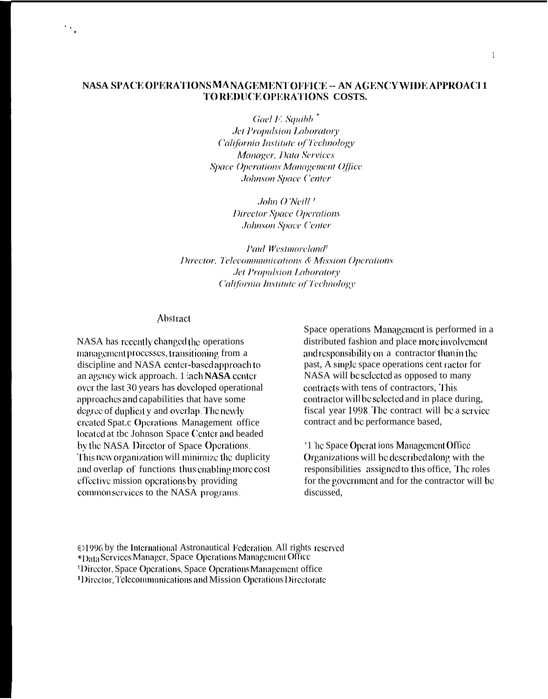## NASA SPACE OPERATIONS MANAGEMENT OFFICE -- AN AGENCY WIDE APPROACI1 TOREDUCE OPERATIONS COSTS.

Gael F. Squibb<sup>\*</sup> **Jet Propulsion Laboratory** California Institute of Technology Manager, Data Services **Space Operations Management Office** Johnson Space Center

> John O'Neill<sup>1</sup> Director Space Operations **Johnson Space Center**

Paul Westmoreland<sup>1</sup> Director, Telecommunications & Mission Operations **Jet Propulsion Laboratory** California Institute of Technology

#### Abstract

NASA has recently changed the operations management processes, transitioning from a discipline and NASA center-based approach to an agency wick approach. 1 'ach NASA center over the last 30 years has developed operational approaches and capabilities that have some degree of duplicit y and overlap. The newly created Spat.c Operations Management office located at the Johnson Space Center and beaded by the NASA Director of Space Operations. This new organization will minimize the duplicity and overlap of functions thus enabling more cost effective mission operations by providing common services to the NASA programs.

Space operations Management is performed in a distributed fashion and place more involvement and responsibility on a contractor than in the past, A single space operations cent ractor for NASA will be selected as opposed to many contracts with tens of contractors, This contractor will be selected and in place during, fiscal year 1998. The contract will be a service contract and be performance based.

'1 he Space Operations Management Office Organizations will be described along with the responsibilities assigned to this office. The roles for the government and for the contractor will be discussed.

@1996 by the International Astronautical Federation. All rights reserved \*Data Services Manager, Space Operations Management Office <sup>1</sup>Director, Space Operations, Space Operations Management office <sup>4</sup>Director, Telecommunications and Mission Operations Directorate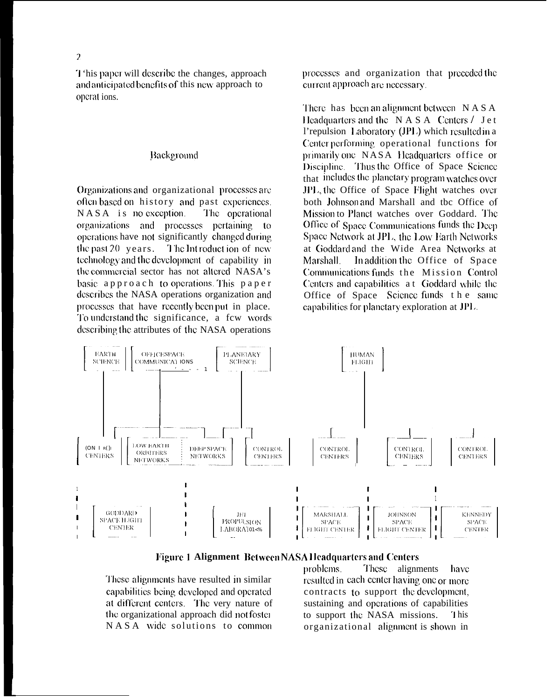$\overline{2}$ 

This paper will describe the changes, approach and anticipated benefits of this new approach to operat ions.

#### Background

Organizations and organizational processes are often based on history and past experiences.  $NASA$  is no exception. The operational organizations and processes pertaining to operations have not significantly changed during the past  $20$  years. The Introduction of new technology and the development of capability in the commercial sector has not altered NASA's basic approach to operations. This paper describes the NASA operations organization and processes that have recently been put in place. To understand the significance, a few words describing the attributes of the NASA operations

processes and organization that preceded the current approach are necessary.

There has been an alignment between  $NASA$ Headquarters and the NASA Centers / Jet l'repulsion Laboratory (JPL) which resulted in a Center performing operational functions for primarily one NASA Headquarters office or Discipline. Thus the Office of Space Science that includes the planetary program watches over JPL, the Office of Space Flight watches over both Johnson and Marshall and the Office of Mission to Planct watches over Goddard. The Office of Space Communications funds the Deep Space Network at JPL, the Low Earth Networks at Goddard and the Wide Area Networks at In addition the Office of Space Marshall Communications funds the Mission Control Centers and capabilities at Goddard while the Office of Space Science funds the same capabilities for planetary exploration at JPL.



#### **Figure 1 Alignment Between NASA Headquarters and Centers**

These alignments have resulted in similar capabilities being developed and operated at different centers. The very nature of the organizational approach did not foster NASA wide solutions to common

These alignments problems. have resulted in each center having one or more contracts to support the development. sustaining and operations of capabilities to support the NASA missions. This organizational alignment is shown in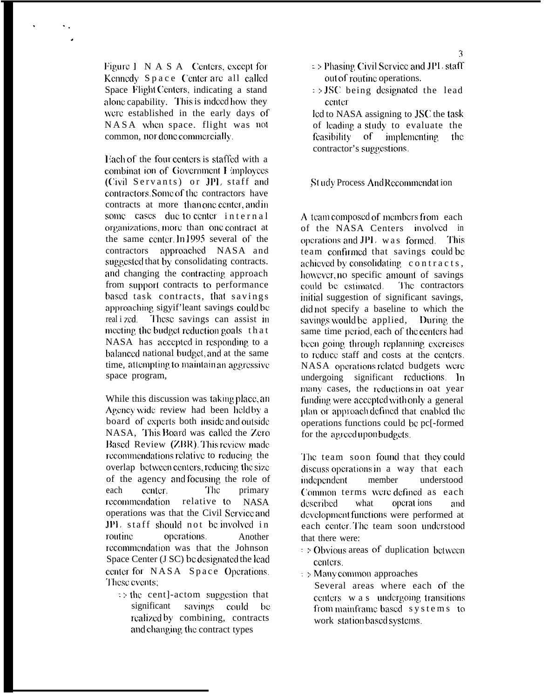Figure 1 N A S A Centers, except for Kennedy Space Center are all called Space Flight Centers, indicating a stand alone capability. This is indeed how they were established in the early days of NASA when space. flight was not common, nor done commercially.

Lach of the four centers is staffed with a combinat ion of Government I imployees (Civil Servants) or JPL staff and contractors. Some of the contractors have contracts at more than one center, and in some cases due to center internal organizations, more than one contract at the same center. In 1995 several of the contractors approached NASA and suggested that by consolidating contracts. and changing the contracting approach from support contracts to performance based task contracts, that savings approaching sigyif'leant savings could be These savings can assist in real i zcd. meeting the budget reduction goals that NASA has accepted in responding to a balanced national budget, and at the same time, attempting to maintain an aggressive space program,

While this discussion was taking place, an Agency wide review had been heldby a board of experts both inside and outside NASA, This Board was called the Zero Based Review (ZBR). This review made recommendations relative to reducing the overlap between centers, reducing the size of the agency and focusing the role of The<sup>1</sup> each center. primary recommendation relative to NASA operations was that the Civil Service and JPL staff should not be involved in routine. operations Another recommendation was that the Johnson Space Center (J SC) be designated the lead center for NASA Space Operations. These events:

 $\Rightarrow$  the cent]-actom suggestion that significant savings could - berealized by combining, contracts and changing the contract types

- $\Rightarrow$  Phasing Civil Service and JPL staff out of routine operations.
- $\Rightarrow$  JSC being designated the lead center

lcd to NASA assigning to JSC the task of leading a study to evaluate the feasibility of implementing the contractor's suggestions.

St udy Process And Recommendation

A team composed of members from each of the NASA Centers involved in operations and JPL was formed. This team confirmed that savings could be achieved by consolidating contracts, however, no specific amount of savings could be estimated. The contractors initial suggestion of significant savings, didnot specify a baseline to which the savings would be applied, During the same time period, each of the centers had been going through replanning exercises to reduce staff and costs at the centers. NASA operations related budgets were undergoing significant reductions. In many cases, the reductions in oat year funding were accepted with only a general plan or approach defined that enabled the operations functions could be pc[-formed] for the agreed upon budgets.

The team soon found that they could discuss operations in a way that each member independent understood Common terms were defined as each what operat ions described and development functions were performed at each center. The team soon understood that there were:

- $\Rightarrow$  Obvious areas of duplication between centers.
- $\Rightarrow$  Many common approaches

Several areas where each of the centers w a s undergoing transitions from mainframe based systems to work station based systems.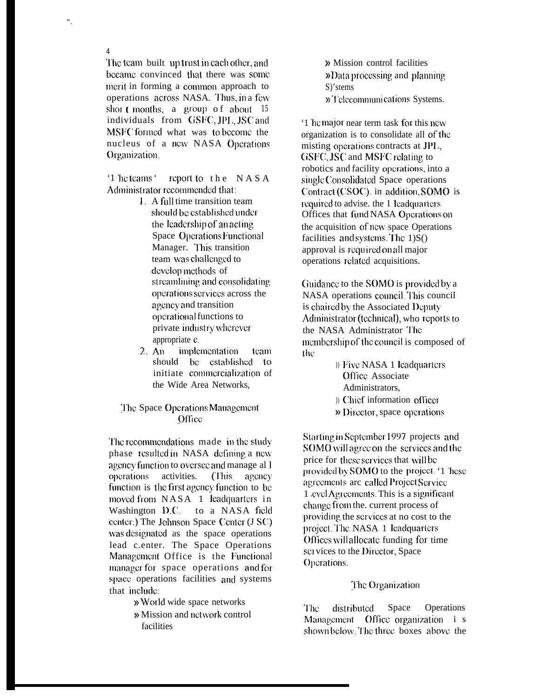The team built up trust in each other, and became convinced that there was some ment in forming a common approach to operations across NASA. Thus, in a few short months, a group of about  $15$ individuals from GSFC, JPL, JSC and MSFC formed what was to become the nucleus of a new NASA Operations Organization.

 $\overline{4}$ 

'1 he teams ' report to the NASA Administrator recommended that:

- L. A full time transition team should be established under the leadership of an acting Space Operations Functional Manager. This transition team was challenged to develop methods of streamlining and consolidating operations services across the agency and transition operational functions to private industry wherever appropriate c.
- $2. An$ implementation team should be established to initiate commercialization of the Wide Area Networks.

## The Space Operations Management Office

The recommendations made in the study phase resulted in NASA defining a new agency function to oversee and manage all operations activities. (This agency function is the first agency function to be moved from NASA 1 leadquarters in Washington D.C. to a NASA field center.) The Johnson Space Center (J SC) was designated as the space operations lead c.enter. The Space Operations Management Office is the Functional manager for space operations and for space operations facilities and systems that include:

» World wide space networks

» Mission and network control facilities

» Mission control facilities »Data processing and planning S)'stems » Telecommunications Systems.

'1 he major near term task for this new organization is to consolidate all of the misting operations contracts at JPL. GSFC, JSC and MSFC relating to robotics and facility operations, into a single Consolidated Space operations Contract (CSOC). in addition, SOMO is required to advise, the 1 leadquarters Offices that fund NASA Operations on the acquisition of new space Operations facilities and systems. The 1)S() approval is required on all major operations related acquisitions.

Guidance to the SOMO is provided by a NASA operations council. This council is chaired by the Associated Deputy Administrator (technical), who reports to the NASA Administrator The membership of the council is composed of the

> )) Five NASA 1 leadquarters Office Associate Administrators.

)) Chief information officer

» Director, space operations

Starting in September 1997 projects and SOMO will agree on the services and the price for these services that will be provided by SOMO to the project. '1 hese agreements are called Project Service 1 evel Agreements. This is a significant change from the. current process of providing the services at no cost to the project. The NASA 1 leadquarters Offices will allocate funding for time services to the Director, Space Operations.

## The Organization

distributed Space Operations The Management Office organization i s shown below. The three boxes above the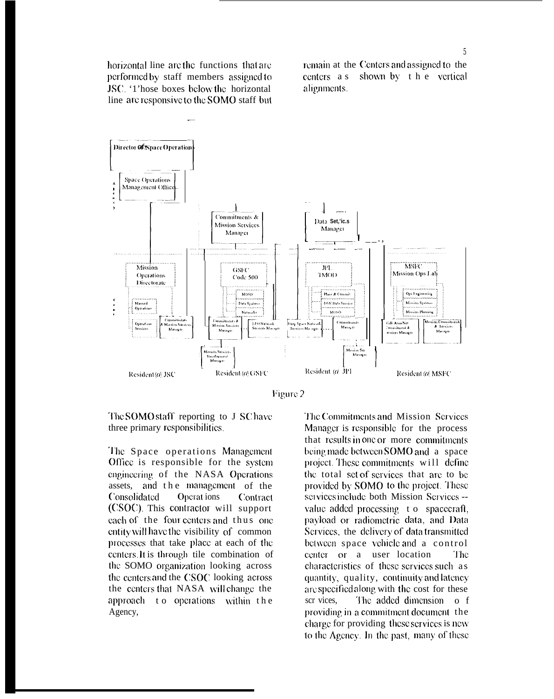horizontal line are the functions that are performed by staff members assigned to JSC: '1'hose boxes below the horizontal line are responsive to the SOMO staff but remain at the Centers and assigned to the shown by the vertical  $centers$  a s alignments.



Figure 2

The SOMO staff reporting to J SC have three primary responsibilities.

The Space operations Management Office is responsible for the system engineering of the NASA Operations assets, and the management of the Consolidated Operat ions Contract (CSOC). This contractor will support each of the four centers and thus one entity will have the visibility of common processes that take place at each of the centers. It is through tile combination of the SOMO organization looking across the centers and the CSOC looking across the centers that NASA will change the approach to operations within the Agency,

The Commitments and Mission Services Manager is responsible for the process that results in one or more commitments being made between SOMO and a space project. These commitments will define the total set of services that are to be provided by SOMO to the project. These services include both Mission Services -value added processing to spacecraft. payload or radiometric data, and Data Services, the delivery of data transmitted between space vehicle and a control center or a user location The. characteristics of these services such as quantity, quality, continuity and latency are specified along with the cost for these The added dimension of scr vices, providing in a commitment document the charge for providing these services is new to the Agency. In the past, many of these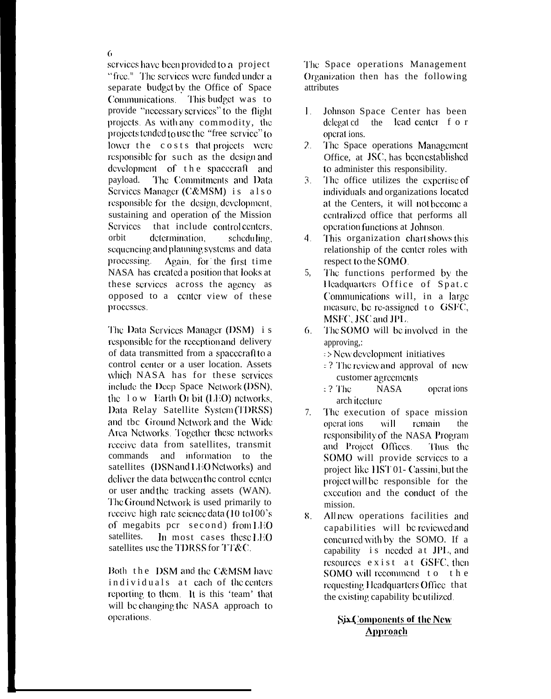services have been provided to a project "free." The services were funded under a separate budget by the Office of Space Communications. This budget was to provide "necessary services" to the flight projects. As with any commodity, the projects tended to use the "free service" to lower the costs that projects were responsible for such as the design and development of the spacecraft and payload. The Commitments and Data Services Manager (C&MSM) is also responsible for the design, development, sustaining and operation of the Mission Services that include control centers, determination. orbit scheduling. sequencing and planning systems and data processing. Again, for the first time NASA has created a position that looks at these services across the agency as opposed to a center view of these processes.

The Data Services Manager (DSM) is responsible for the reception and delivery of data transmitted from a spacecraft to a control center or a user location. Assets which NASA has for these services include the Deep Space Network (DSN), the  $1 \text{ o }$  w. Earth Or bit  $(LEO)$  networks. Data Relay Satellite System (TDRSS) and tbc Ground Network and the Wide Area Networks. Together these networks receive data from satellites, transmit commands and information to the satellites (DSN and LEO Networks) and deliver the data between the control center or user and the tracking assets (WAN). The Ground Network is used primarily to receive high rate science data (10 to 100's) of megabits pcr second) from LEO satellites. In most cases these LEO satellites use the TDRSS for TT&C.

Both the DSM and the C&MSM have individuals at each of the centers reporting to them. It is this 'team' that will be changing the NASA approach to operations.

The Space operations Management Organization then has the following attributes

- $1.$ Johnson Space Center has been delegated the lead center f o r operat ions.
- The Space operations Management  $2.$ Office, at JSC, has been established to administer this responsibility.
- $\overline{3}$ . The office utilizes the expertise of individuals and organizations located at the Centers, it will not become a centralized office that performs all operation functions at Johnson.
- $4<sup>1</sup>$ This organization chart shows this relationship of the center roles with respect to the SOMO.
- 5. The functions performed by the Headquarters Office of Spat.c Communications will, in a large measure, be re-assigned to GSFC, MSFC. JSC and JPL.
- The SOMO will be involved in the  $6.$ approving.:
	- => New development initiatives
	- $\approx$  ? The review and approval of new customer agreements
	- $\pm$  ? The **NASA** operations arch itecture
- $7<sub>1</sub>$ The execution of space mission remain operat ions will the responsibility of the NASA Program and Project Offices. Thus the SOMO will provide services to a project like HST 01- Cassini, but the project will be responsible for the execution and the conduct of the mission
- 8. All new operations facilities and capabilities will be reviewed and concurred with by the SOMO. If a capability is needed at JPL and resources exist at GSFC, then SOMO will recommend to the requesting Headquarters Office that the existing capability be utilized.

# Six Components of the New **Approach**

6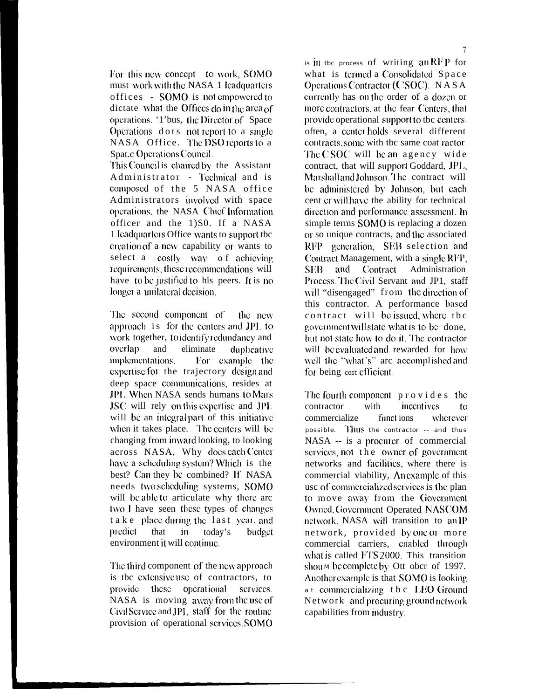For this new concept to work, SOMO must work with the NASA 1 leadquarters offices - SOMO is not empowered to dictate what the Offices do in the area of operations. '1'bus, the Director of Space Operations dots not report to a single NASA Office. The DSO reports to a Spat.c Operations Council.

This Council is chaired by the Assistant Administrator - Technical and is composed of the 5 NASA office Administrators involved with space operations, the NASA Chief Information officer and the 1)S0. If a NASA 1 leadquarters Office wants to support tbe creation of a new capability or wants to select a costly way of achieving requirements, these recommendations will have to be justified to his peers. It is no longer a unilateral decision.

The second component of the new approach is for the centers and JPL to work together, to identify redundancy and overlap and eliminate duplicative implementations. For example the expertise for the trajectory design and deep space communications, resides at JPL When NASA sends humans to Mars JSC will rely on this expertise and JPL will be an integral part of this initiative when it takes place. The centers will be changing from inward looking, to looking across NASA, Why does each Center have a scheduling system? Which is the best? Can they be combined? If NASA needs two scheduling systems, SOMO will be able to articulate why there are two. I have seen these types of changes take place during the last year, and predict that  $\mathbf{m}$ today's budget environment it will continue.

The third component of the new approach is the extensive use of contractors, to provide these operational services. NASA is moving away from the use of Civil Service and JPL staff for the routine provision of operational services SOMO

is in the process of writing an RFP for what is termed a Consolidated Space Operations Contractor (CSOC). NASA currently has on the order of a dozen or more contractors, at the fear Centers, that provide operational support to tbc centers. often, a center holds several different contracts, some with tbc same coat ractor. The CSOC will be an agency wide contract, that will support Goddard, JPL. Marshall and Johnson. The contract will be administered by Johnson, but each cent cr will have the ability for technical direction and performance assessment. In simple terms SOMO is replacing a dozen or so unique contracts, and the associated RFP generation, SEB selection and Contract Management, with a single RFP, and Contract Administration **SEB** Process. The Civil Servant and JP1, staff will "disengaged" from the direction of this contractor. A performance based contract will be issued, where the government will state what is to be done. but not state how to do it. The contractor will be evaluated and rewarded for how well the "what's" are accomplished and for being cost efficient.

The fourth component  $p \circ v$  ides the contractor with incentives  $f_{\Omega}$ commercialize funct ions wherever possible. Thus the contractor -- and thus NASA -- is a procurer of commercial services, not the owner of government networks and facilities, where there is commercial viability, Anexample of this use of commercialized services is the plan to move away from the Government Owned, Government Operated NASCOM network. NASA will transition to an IP network, provided by one or more commercial carriers, enabled through what is called FTS 2000. This transition shoum be complete by Ott ober of 1997. Another example is that **SOMO** is looking. a t commercializing tbc LEO Ground Network and procuring ground network capabilities from industry.